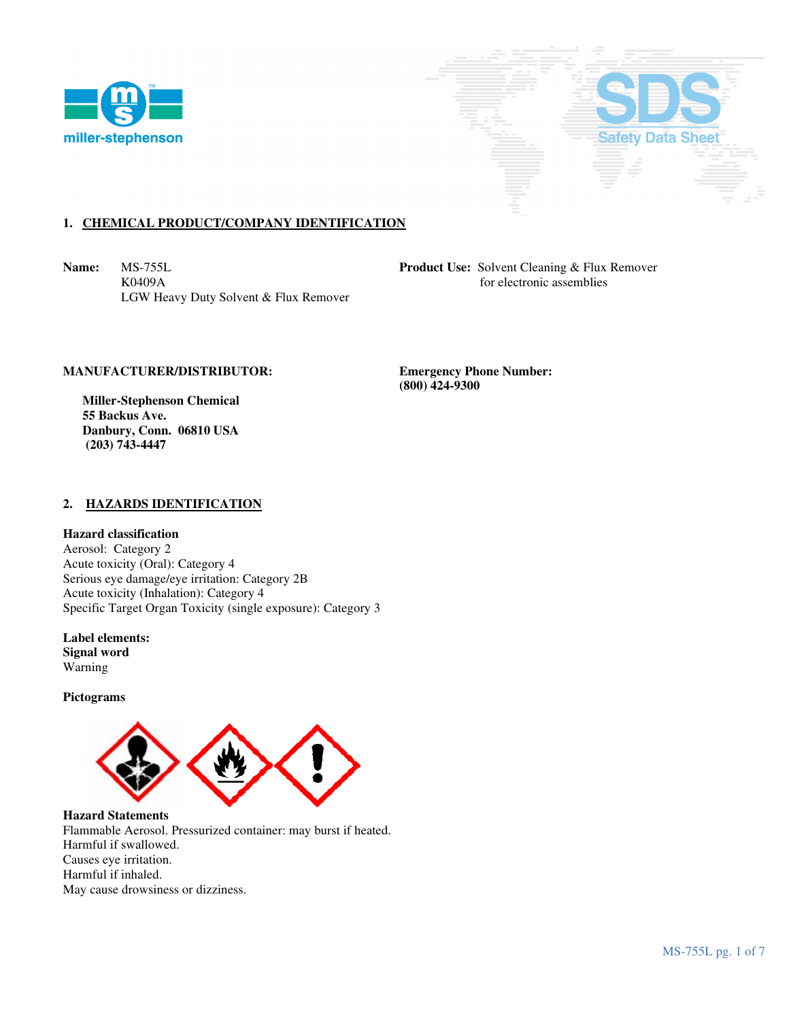



# **1. CHEMICAL PRODUCT/COMPANY IDENTIFICATION**

**Name:** MS-755L **Product Use:** Solvent Cleaning & Flux Remover K0409A for electronic assemblies LGW Heavy Duty Solvent & Flux Remover

## **MANUFACTURER/DISTRIBUTOR: Emergency Phone Number:**

 **Miller-Stephenson Chemical 55 Backus Ave. Danbury, Conn. 06810 USA (203) 743-4447** 

 **(800) 424-9300** 

### **2. HAZARDS IDENTIFICATION**

#### **Hazard classification**

Aerosol: Category 2 Acute toxicity (Oral): Category 4 Serious eye damage/eye irritation: Category 2B Acute toxicity (Inhalation): Category 4 Specific Target Organ Toxicity (single exposure): Category 3

**Label elements: Signal word**  Warning

**Pictograms** 



**Hazard Statements**  Flammable Aerosol. Pressurized container: may burst if heated. Harmful if swallowed. Causes eye irritation. Harmful if inhaled. May cause drowsiness or dizziness.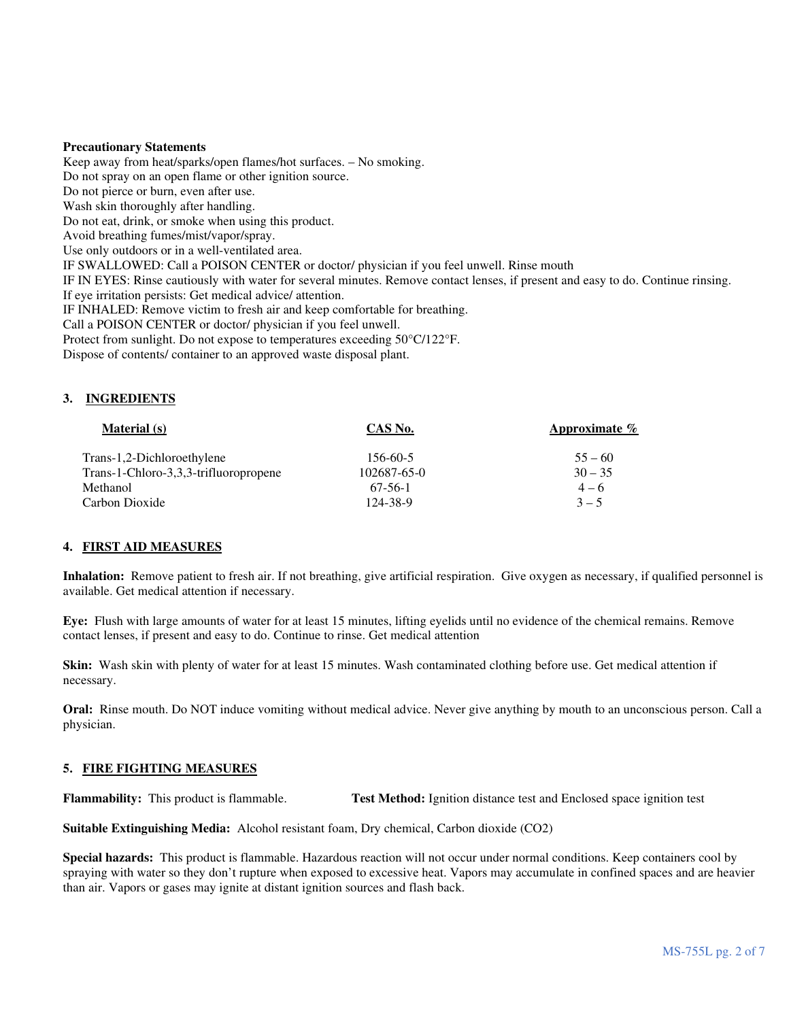#### **Precautionary Statements**

Keep away from heat/sparks/open flames/hot surfaces. – No smoking. Do not spray on an open flame or other ignition source. Do not pierce or burn, even after use. Wash skin thoroughly after handling. Do not eat, drink, or smoke when using this product. Avoid breathing fumes/mist/vapor/spray. Use only outdoors or in a well-ventilated area. IF SWALLOWED: Call a POISON CENTER or doctor/ physician if you feel unwell. Rinse mouth IF IN EYES: Rinse cautiously with water for several minutes. Remove contact lenses, if present and easy to do. Continue rinsing. If eye irritation persists: Get medical advice/ attention. IF INHALED: Remove victim to fresh air and keep comfortable for breathing. Call a POISON CENTER or doctor/ physician if you feel unwell. Protect from sunlight. Do not expose to temperatures exceeding 50°C/122°F. Dispose of contents/ container to an approved waste disposal plant.

## **3. INGREDIENTS**

| <b>Material</b> (s)                   | CAS No.     | <b>Approximate</b> $\%$ |
|---------------------------------------|-------------|-------------------------|
| Trans-1,2-Dichloroethylene            | 156-60-5    | $55 - 60$               |
| Trans-1-Chloro-3,3,3-trifluoropropene | 102687-65-0 | $30 - 35$               |
| Methanol                              | 67-56-1     | $4 - 6$                 |
| Carbon Dioxide                        | 124-38-9    | $3 - 5$                 |

#### **4. FIRST AID MEASURES**

**Inhalation:** Remove patient to fresh air. If not breathing, give artificial respiration. Give oxygen as necessary, if qualified personnel is available. Get medical attention if necessary.

**Eye:** Flush with large amounts of water for at least 15 minutes, lifting eyelids until no evidence of the chemical remains. Remove contact lenses, if present and easy to do. Continue to rinse. Get medical attention

**Skin:** Wash skin with plenty of water for at least 15 minutes. Wash contaminated clothing before use. Get medical attention if necessary.

**Oral:** Rinse mouth. Do NOT induce vomiting without medical advice. Never give anything by mouth to an unconscious person. Call a physician.

## **5. FIRE FIGHTING MEASURES**

**Flammability:** This product is flammable. **Test Method:** Ignition distance test and Enclosed space ignition test

**Suitable Extinguishing Media:** Alcohol resistant foam, Dry chemical, Carbon dioxide (CO2)

**Special hazards:** This product is flammable. Hazardous reaction will not occur under normal conditions. Keep containers cool by spraying with water so they don't rupture when exposed to excessive heat. Vapors may accumulate in confined spaces and are heavier than air. Vapors or gases may ignite at distant ignition sources and flash back.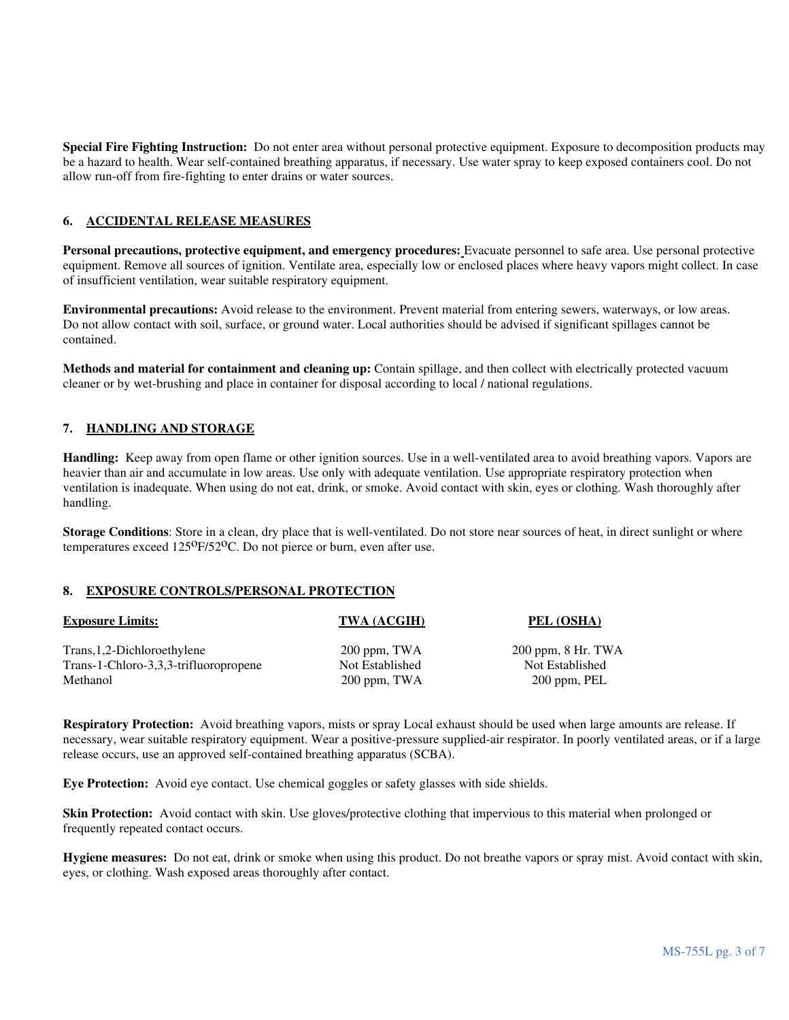**Special Fire Fighting Instruction:** Do not enter area without personal protective equipment. Exposure to decomposition products may be a hazard to health. Wear self-contained breathing apparatus, if necessary. Use water spray to keep exposed containers cool. Do not allow run-off from fire-fighting to enter drains or water sources.

# **6. ACCIDENTAL RELEASE MEASURES**

**Personal precautions, protective equipment, and emergency procedures:** Evacuate personnel to safe area. Use personal protective equipment. Remove all sources of ignition. Ventilate area, especially low or enclosed places where heavy vapors might collect. In case of insufficient ventilation, wear suitable respiratory equipment.

**Environmental precautions:** Avoid release to the environment. Prevent material from entering sewers, waterways, or low areas. Do not allow contact with soil, surface, or ground water. Local authorities should be advised if significant spillages cannot be contained.

**Methods and material for containment and cleaning up:** Contain spillage, and then collect with electrically protected vacuum cleaner or by wet-brushing and place in container for disposal according to local / national regulations.

# **7. HANDLING AND STORAGE**

**Handling:** Keep away from open flame or other ignition sources. Use in a well-ventilated area to avoid breathing vapors. Vapors are heavier than air and accumulate in low areas. Use only with adequate ventilation. Use appropriate respiratory protection when ventilation is inadequate. When using do not eat, drink, or smoke. Avoid contact with skin, eyes or clothing. Wash thoroughly after handling.

**Storage Conditions**: Store in a clean, dry place that is well-ventilated. Do not store near sources of heat, in direct sunlight or where temperatures exceed 125<sup>o</sup>F/52<sup>o</sup>C. Do not pierce or burn, even after use.

#### **8. EXPOSURE CONTROLS/PERSONAL PROTECTION**

| <b>Exposure Limits:</b>               | TWA (ACGIH)     | PEL (OSHA)             |
|---------------------------------------|-----------------|------------------------|
| Trans, 1, 2-Dichloroethylene          | $200$ ppm, TWA  | $200$ ppm, $8$ Hr. TWA |
| Trans-1-Chloro-3,3,3-trifluoropropene | Not Established | Not Established        |
| Methanol                              | 200 ppm, TWA    | 200 ppm, PEL           |

**Respiratory Protection:** Avoid breathing vapors, mists or spray Local exhaust should be used when large amounts are release. If necessary, wear suitable respiratory equipment. Wear a positive-pressure supplied-air respirator. In poorly ventilated areas, or if a large release occurs, use an approved self-contained breathing apparatus (SCBA).

**Eye Protection:** Avoid eye contact. Use chemical goggles or safety glasses with side shields.

**Skin Protection:** Avoid contact with skin. Use gloves/protective clothing that impervious to this material when prolonged or frequently repeated contact occurs.

**Hygiene measures:** Do not eat, drink or smoke when using this product. Do not breathe vapors or spray mist. Avoid contact with skin, eyes, or clothing. Wash exposed areas thoroughly after contact.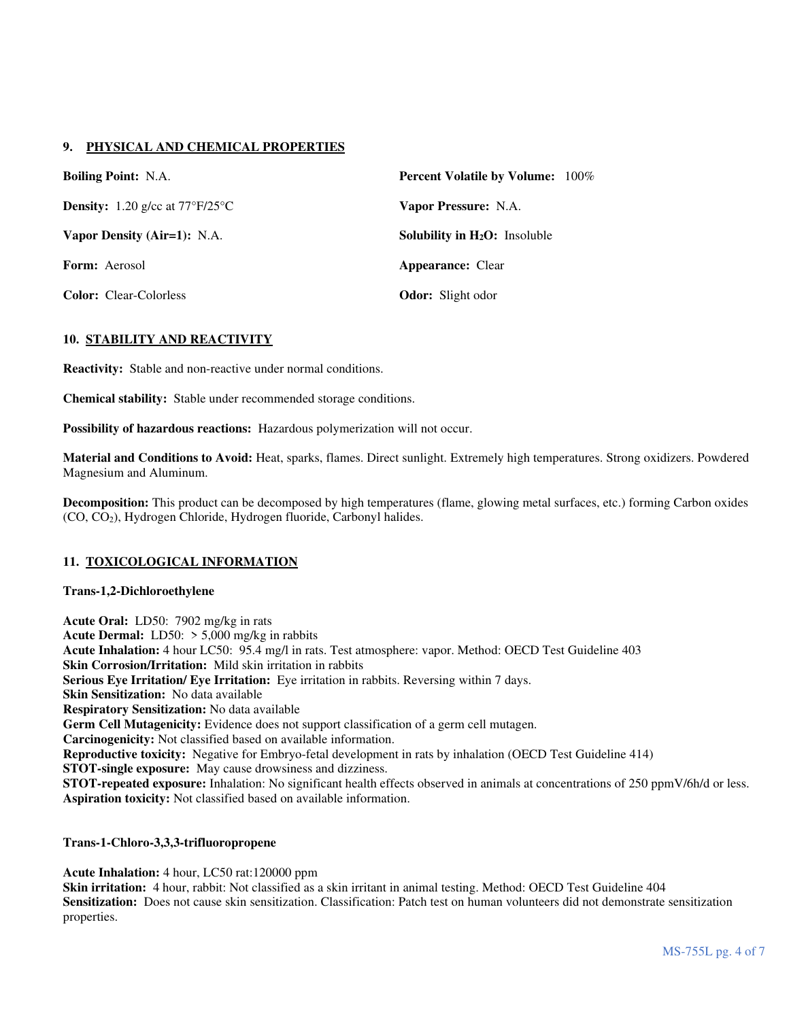# **9. PHYSICAL AND CHEMICAL PROPERTIES**

| <b>Boiling Point:</b> N.A.                             | <b>Percent Volatile by Volume:</b> 100% |  |  |
|--------------------------------------------------------|-----------------------------------------|--|--|
| <b>Density:</b> 1.20 g/cc at $77^{\circ}F/25^{\circ}C$ | Vapor Pressure: N.A.                    |  |  |
| Vapor Density (Air=1): N.A.                            | Solubility in $H_2O$ : Insoluble        |  |  |
| <b>Form:</b> Aerosol                                   | <b>Appearance:</b> Clear                |  |  |
| <b>Color:</b> Clear-Colorless                          | <b>Odor:</b> Slight odor                |  |  |

## **10. STABILITY AND REACTIVITY**

**Reactivity:** Stable and non-reactive under normal conditions.

**Chemical stability:** Stable under recommended storage conditions.

**Possibility of hazardous reactions:** Hazardous polymerization will not occur.

**Material and Conditions to Avoid:** Heat, sparks, flames. Direct sunlight. Extremely high temperatures. Strong oxidizers. Powdered Magnesium and Aluminum.

**Decomposition:** This product can be decomposed by high temperatures (flame, glowing metal surfaces, etc.) forming Carbon oxides (CO, CO2), Hydrogen Chloride, Hydrogen fluoride, Carbonyl halides.

#### **11. TOXICOLOGICAL INFORMATION**

#### **Trans-1,2-Dichloroethylene**

**Acute Oral:** LD50: 7902 mg/kg in rats **Acute Dermal:** LD50: > 5,000 mg/kg in rabbits **Acute Inhalation:** 4 hour LC50: 95.4 mg/l in rats. Test atmosphere: vapor. Method: OECD Test Guideline 403 **Skin Corrosion/Irritation:** Mild skin irritation in rabbits **Serious Eye Irritation/ Eye Irritation:** Eye irritation in rabbits. Reversing within 7 days. **Skin Sensitization:** No data available **Respiratory Sensitization:** No data available **Germ Cell Mutagenicity:** Evidence does not support classification of a germ cell mutagen. **Carcinogenicity:** Not classified based on available information. **Reproductive toxicity:** Negative for Embryo-fetal development in rats by inhalation (OECD Test Guideline 414) **STOT-single exposure:** May cause drowsiness and dizziness. **STOT-repeated exposure:** Inhalation: No significant health effects observed in animals at concentrations of 250 ppmV/6h/d or less. **Aspiration toxicity:** Not classified based on available information.

#### **Trans-1-Chloro-3,3,3-trifluoropropene**

**Acute Inhalation:** 4 hour, LC50 rat:120000 ppm **Skin irritation:** 4 hour, rabbit: Not classified as a skin irritant in animal testing. Method: OECD Test Guideline 404 Sensitization: Does not cause skin sensitization. Classification: Patch test on human volunteers did not demonstrate sensitization properties.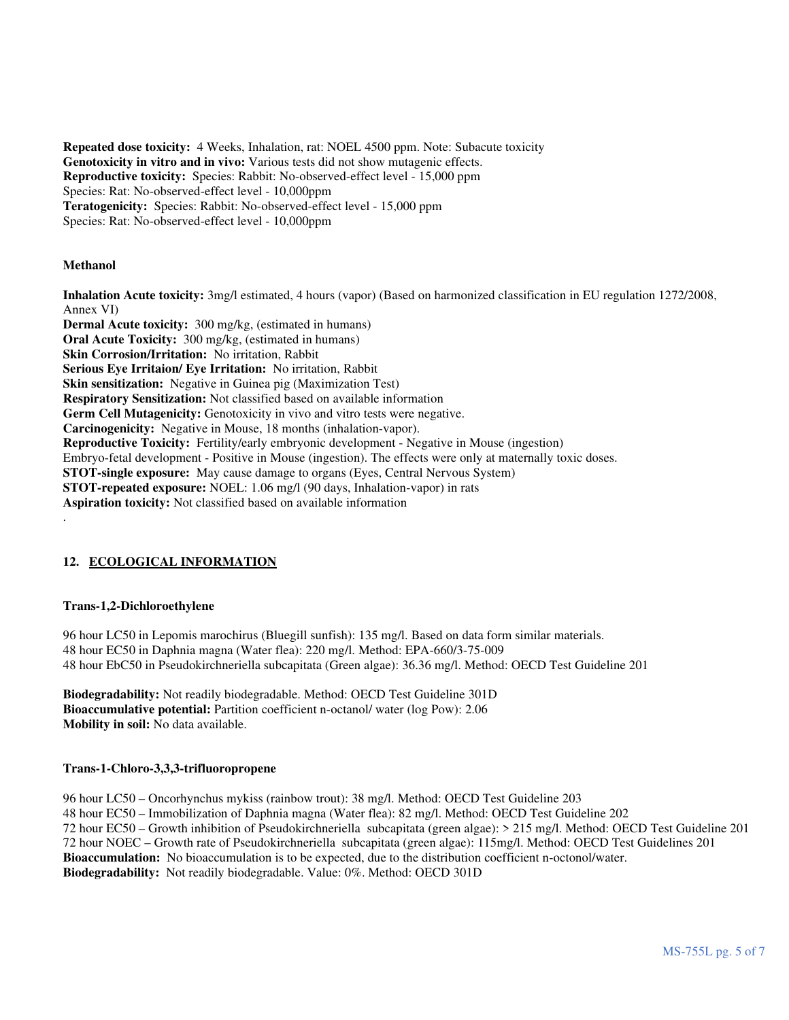**Repeated dose toxicity:** 4 Weeks, Inhalation, rat: NOEL 4500 ppm. Note: Subacute toxicity **Genotoxicity in vitro and in vivo:** Various tests did not show mutagenic effects. **Reproductive toxicity:** Species: Rabbit: No-observed-effect level - 15,000 ppm Species: Rat: No-observed-effect level - 10,000ppm **Teratogenicity:** Species: Rabbit: No-observed-effect level - 15,000 ppm Species: Rat: No-observed-effect level - 10,000ppm

## **Methanol**

.

**Inhalation Acute toxicity:** 3mg/l estimated, 4 hours (vapor) (Based on harmonized classification in EU regulation 1272/2008, Annex VI) **Dermal Acute toxicity:** 300 mg/kg, (estimated in humans) **Oral Acute Toxicity:** 300 mg/kg, (estimated in humans) **Skin Corrosion/Irritation:** No irritation, Rabbit **Serious Eye Irritaion/ Eye Irritation:** No irritation, Rabbit **Skin sensitization:** Negative in Guinea pig (Maximization Test) **Respiratory Sensitization:** Not classified based on available information **Germ Cell Mutagenicity:** Genotoxicity in vivo and vitro tests were negative. **Carcinogenicity:** Negative in Mouse, 18 months (inhalation-vapor). **Reproductive Toxicity:** Fertility/early embryonic development - Negative in Mouse (ingestion) Embryo-fetal development - Positive in Mouse (ingestion). The effects were only at maternally toxic doses. **STOT-single exposure:** May cause damage to organs (Eyes, Central Nervous System) **STOT-repeated exposure:** NOEL: 1.06 mg/l (90 days, Inhalation-vapor) in rats **Aspiration toxicity:** Not classified based on available information

# **12. ECOLOGICAL INFORMATION**

#### **Trans-1,2-Dichloroethylene**

96 hour LC50 in Lepomis marochirus (Bluegill sunfish): 135 mg/l. Based on data form similar materials. 48 hour EC50 in Daphnia magna (Water flea): 220 mg/l. Method: EPA-660/3-75-009 48 hour EbC50 in Pseudokirchneriella subcapitata (Green algae): 36.36 mg/l. Method: OECD Test Guideline 201

**Biodegradability:** Not readily biodegradable. Method: OECD Test Guideline 301D **Bioaccumulative potential:** Partition coefficient n-octanol/ water (log Pow): 2.06 **Mobility in soil:** No data available.

#### **Trans-1-Chloro-3,3,3-trifluoropropene**

96 hour LC50 – Oncorhynchus mykiss (rainbow trout): 38 mg/l. Method: OECD Test Guideline 203 48 hour EC50 – Immobilization of Daphnia magna (Water flea): 82 mg/l. Method: OECD Test Guideline 202 72 hour EC50 – Growth inhibition of Pseudokirchneriella subcapitata (green algae): > 215 mg/l. Method: OECD Test Guideline 201 72 hour NOEC – Growth rate of Pseudokirchneriella subcapitata (green algae): 115mg/l. Method: OECD Test Guidelines 201 **Bioaccumulation:** No bioaccumulation is to be expected, due to the distribution coefficient n-octonol/water. **Biodegradability:** Not readily biodegradable. Value: 0%. Method: OECD 301D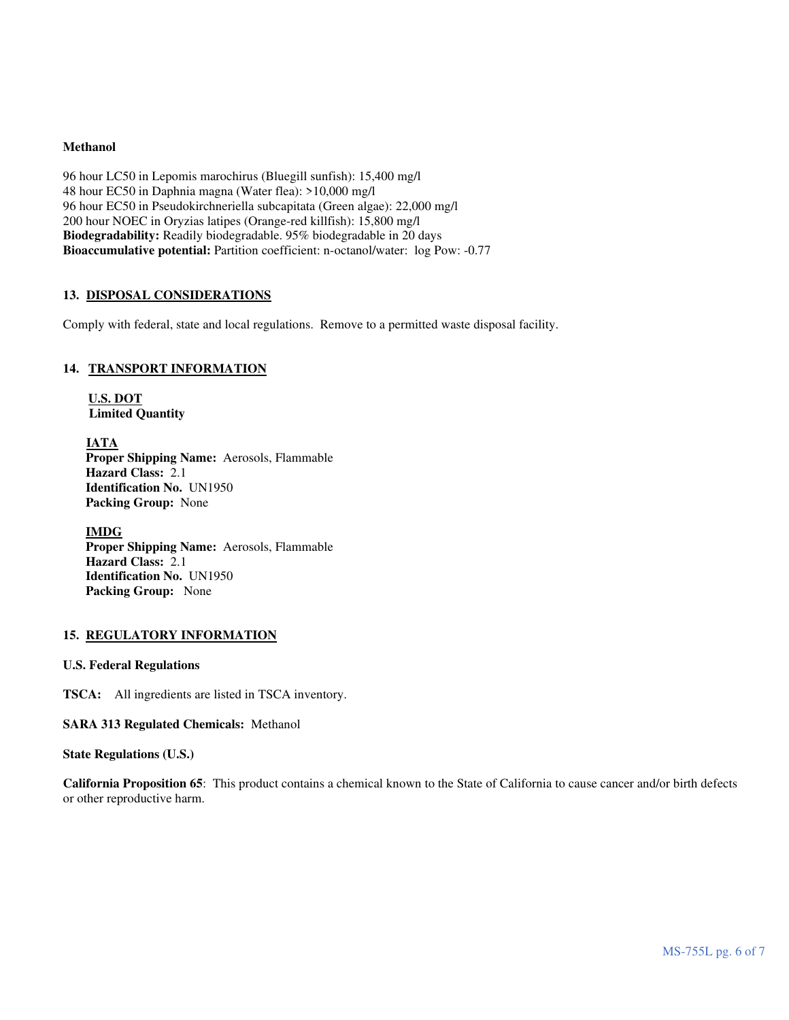#### **Methanol**

96 hour LC50 in Lepomis marochirus (Bluegill sunfish): 15,400 mg/l 48 hour EC50 in Daphnia magna (Water flea): >10,000 mg/l 96 hour EC50 in Pseudokirchneriella subcapitata (Green algae): 22,000 mg/l 200 hour NOEC in Oryzias latipes (Orange-red killfish): 15,800 mg/l **Biodegradability:** Readily biodegradable. 95% biodegradable in 20 days **Bioaccumulative potential:** Partition coefficient: n-octanol/water: log Pow: -0.77

## **13. DISPOSAL CONSIDERATIONS**

Comply with federal, state and local regulations. Remove to a permitted waste disposal facility.

## **14. TRANSPORT INFORMATION**

**U.S. DOT Limited Quantity** 

 **IATA Proper Shipping Name:** Aerosols, Flammable **Hazard Class:** 2.1 **Identification No.** UN1950 **Packing Group:** None

 **IMDG Proper Shipping Name:** Aerosols, Flammable **Hazard Class:** 2.1 **Identification No.** UN1950 **Packing Group:** None

#### **15. REGULATORY INFORMATION**

## **U.S. Federal Regulations**

**TSCA:** All ingredients are listed in TSCA inventory.

**SARA 313 Regulated Chemicals:** Methanol

#### **State Regulations (U.S.)**

**California Proposition 65**: This product contains a chemical known to the State of California to cause cancer and/or birth defects or other reproductive harm.